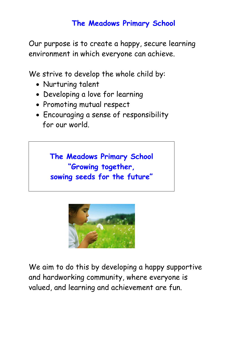# **The Meadows Primary School**

Our purpose is to create a happy, secure learning environment in which everyone can achieve.

We strive to develop the whole child by:

- Nurturing talent
- Developing a love for learning
- Promoting mutual respect
- Encouraging a sense of responsibility for our world.

**The Meadows Primary School "Growing together, sowing seeds for the future"**



We aim to do this by developing a happy supportive and hardworking community, where everyone is valued, and learning and achievement are fun.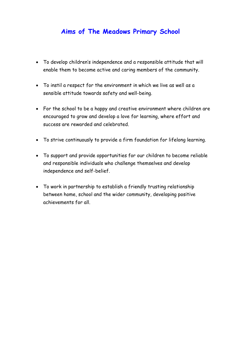# **Aims of The Meadows Primary School**

- To develop children's independence and a responsible attitude that will enable them to become active and caring members of the community.
- To instil a respect for the environment in which we live as well as a sensible attitude towards safety and well-being.
- For the school to be a happy and creative environment where children are encouraged to grow and develop a love for learning, where effort and success are rewarded and celebrated.
- To strive continuously to provide a firm foundation for lifelong learning.
- To support and provide opportunities for our children to become reliable and responsible individuals who challenge themselves and develop independence and self-belief.
- To work in partnership to establish a friendly trusting relationship between home, school and the wider community, developing positive achievements for all.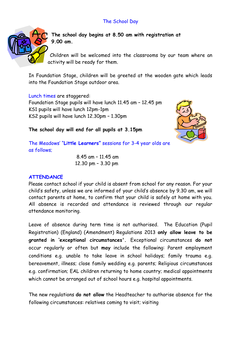# The School Day



**The school day begins at 8.50 am with registration at 9.00 am.** 

Children will be welcomed into the classrooms by our team where an activity will be ready for them.

In Foundation Stage, children will be greeted at the wooden gate which leads into the Foundation Stage outdoor area.

Lunch times are staggered: Foundation Stage pupils will have lunch 11.45 am – 12.45 pm KS1 pupils will have lunch 12pm-1pm KS2 pupils will have lunch 12.30pm – 1.30pm



**The school day will end for all pupils at 3.15pm**

The Meadows' "**Little Learners"** sessions for 3-4 year olds are as follows;

> 8.45 am – 11.45 am 12.30 pm – 3.30 pm

#### **ATTENDANCE**

Please contact school if your child is absent from school for any reason. For your child's safety, unless we are informed of your child's absence by 9.30 am, we will contact parents at home, to confirm that your child is safely at home with you. All absence is recorded and attendance is reviewed through our regular attendance monitoring.

Leave of absence during term time is not authorised. The Education (Pupil Registration) (England) (Amendment) Regulations 2013 **only allow leave to be granted in 'exceptional circumstances'.** Exceptional circumstances **do not** occur regularly or often but **may** include the following: Parent employment conditions e.g. unable to take leave in school holidays; family trauma e.g. bereavement, illness; close family wedding e.g. parents; Religious circumstances e.g. confirmation; EAL children returning to home country; medical appointments which cannot be arranged out of school hours e.g. hospital appointments.

The new regulations **do not allow** the Headteacher to authorise absence for the following circumstances: relatives coming to visit; visiting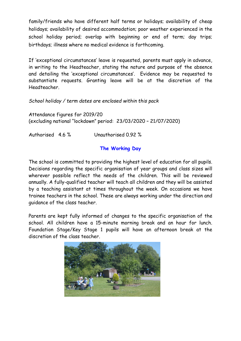family/friends who have different half terms or holidays; availability of cheap holidays; availability of desired accommodation; poor weather experienced in the school holiday period; overlap with beginning or end of term; day trips; birthdays; illness where no medical evidence is forthcoming.

If 'exceptional circumstances' leave is requested, parents must apply in advance, in writing to the Headteacher, stating the nature and purpose of the absence and detailing the 'exceptional circumstances'. Evidence may be requested to substantiate requests. Granting leave will be at the discretion of the Headteacher.

*School holiday / term dates are enclosed within this pack*

Attendance figures for 2019/20 (excluding national "lockdown" period: 23/03/2020 – 21/07/2020)

Authorised 4.6 % Unauthorised 0.92 %

# **The Working Day**

The school is committed to providing the highest level of education for all pupils. Decisions regarding the specific organisation of year groups and class sizes will wherever possible reflect the needs of the children. This will be reviewed annually. A fully-qualified teacher will teach all children and they will be assisted by a teaching assistant at times throughout the week. On occasions we have trainee teachers in the school. These are always working under the direction and guidance of the class teacher.

Parents are kept fully informed of changes to the specific organisation of the school. All children have a 15-minute morning break and an hour for lunch. Foundation Stage/Key Stage 1 pupils will have an afternoon break at the discretion of the class teacher.

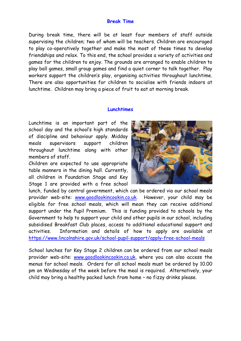#### **Break Time**

During break time, there will be at least four members of staff outside supervising the children; two of whom will be teachers. Children are encouraged to play co-operatively together and make the most of these times to develop friendships and relax. To this end, the school provides a variety of activities and games for the children to enjoy. The grounds are arranged to enable children to play ball games, small group games and find a quiet corner to talk together. Play workers support the children's play, organising activities throughout lunchtime. There are also opportunities for children to socialise with friends indoors at lunchtime. Children may bring a piece of fruit to eat at morning break.

#### **Lunchtimes**

Lunchtime is an important part of the school day and the school's high standards of discipline and behaviour apply. Midday meals supervisors support children throughout lunchtime along with other members of staff.

Children are expected to use appropriate table manners in the dining hall. Currently, all children in Foundation Stage and Key Stage 1 are provided with a free school



lunch, funded by central government, which can be ordered via our school meals provider web-site: www.goodlookincookin.co.uk. However, your child may be eligible for free school meals, which will mean they can receive additional support under the Pupil Premium. This is funding provided to schools by the Government to help to support your child and other pupils in our school, including subsidised Breakfast Club places, access to additional educational support and activities. Information and details of how to apply are available at https://www.lincolnshire.gov.uk/school-pupil-support/apply-free-school-meals

School lunches for Key Stage 2 children can be ordered from our school meals provider web-site: www.goodlookincookin.co.uk, where you can also access the menus for school meals. Orders for all school meals must be ordered by 10.00 pm on Wednesday of the week before the meal is required. Alternatively, your child may bring a healthy packed lunch from home – no fizzy drinks please.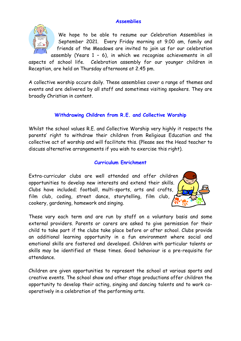#### **Assemblies**



We hope to be able to resume our Celebration Assemblies in September 2021. Every Friday morning at 9.00 am, family and friends of the Meadows are invited to join us for our celebration assembly (Years 1 – 6), in which we recognise achievements in all

aspects of school life. Celebration assembly for our younger children in Reception, are held on Thursday afternoons at 2.45 pm.

A collective worship occurs daily. These assemblies cover a range of themes and events and are delivered by all staff and sometimes visiting speakers. They are broadly Christian in content.

# **Withdrawing Children from R.E. and Collective Worship**

Whilst the school values R.E. and Collective Worship very highly it respects the parents' right to withdraw their children from Religious Education and the collective act of worship and will facilitate this. (Please see the Head teacher to discuss alternative arrangements if you wish to exercise this right).

# **Curriculum Enrichment**

Extra-curricular clubs are well attended and offer children opportunities to develop new interests and extend their skills. Clubs have included; football, multi-sports, arts and crafts, film club, coding, street dance, storytelling, film club, cookery, gardening, homework and singing.

These vary each term and are run by staff on a voluntary basis and some external providers. Parents or carers are asked to give permission for their child to take part if the clubs take place before or after school. Clubs provide an additional learning opportunity in a fun environment where social and emotional skills are fostered and developed. Children with particular talents or skills may be identified at these times. Good behaviour is a pre-requisite for attendance.

Children are given opportunities to represent the school at various sports and creative events. The school show and other stage productions offer children the opportunity to develop their acting, singing and dancing talents and to work cooperatively in a celebration of the performing arts.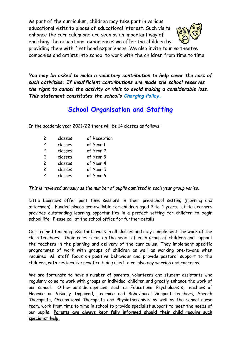As part of the curriculum, children may take part in various educational visits to places of educational interest. Such visits enhance the curriculum and are seen as an important way of enriching the educational experiences we offer the children by providing them with first hand experiences. We also invite touring theatre



companies and artists into school to work with the children from time to time.

*You may be asked to make a voluntary contribution to help cover the cost of such activities. If insufficient contributions are made the school reserves the right to cancel the activity or visit to avoid making a considerable loss. This statement constitutes the school's Charging Policy.*

# **School Organisation and Staffing**

In the academic year 2021/22 there will be 14 classes as follows:

| 2             | classes | of Reception |
|---------------|---------|--------------|
| 2             | classes | of Year 1    |
| $\mathcal{P}$ | classes | of Year 2    |
| 2             | classes | of Year 3    |
| $\mathcal{P}$ | classes | of Year 4    |
| $\mathcal{P}$ | classes | of Year 5    |
| $\mathcal{P}$ | classes | of Year 6    |
|               |         |              |

*This is reviewed annually as the number of pupils admitted in each year group varies.*

Little Learners offer part time sessions in their pre-school setting (morning and afternoon). Funded places are available for children aged 3 to 4 years. Little Learners provides outstanding learning opportunities in a perfect setting for children to begin school life. Please call at the school office for further details.

Our trained teaching assistants work in all classes and ably complement the work of the class teachers. Their roles focus on the needs of each group of children and support the teachers in the planning and delivery of the curriculum. They implement specific programmes of work with groups of children as well as working one-to-one when required. All staff focus on positive behaviour and provide pastoral support to the children, with restorative practice being used to resolve any worries and concerns.

We are fortunate to have a number of parents, volunteers and student assistants who regularly come to work with groups or individual children and greatly enhance the work of our school. Other outside agencies, such as Educational Psychologists, teachers of Hearing or Visually Impaired, Learning and Behavioural Support teachers, Speech Therapists, Occupational Therapists and Physiotherapists as well as the school nurse team, work from time to time in school to provide specialist support to meet the needs of our pupils**. Parents are always kept fully informed should their child require such specialist help.**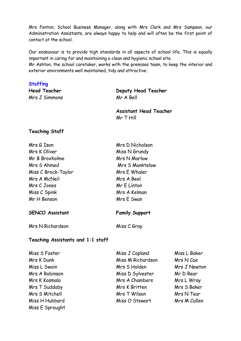Mrs Fenton, School Business Manager, along with Mrs Clark and Mrs Sampson, our Administration Assistants, are always happy to help and will often be the first point of contact at the school.

Our endeavour is to provide high standards in all aspects of school life. This is equally important in caring for and maintaining a clean and hygienic school site.

Mr Ashton, the school caretaker, works with the premises team, to keep the interior and exterior environments well maintained, tidy and attractive.

#### **Staffing**

Mrs J Simmons Mr A Bell

**Head Teacher Deputy Head Teacher**

**Assistant Head Teacher** Mr T Hill

#### **Teaching Staff**

| Mrs G Ison          | Mrs D Nicholson |
|---------------------|-----------------|
| Mrs K Oliver        | Miss N Grundy   |
| Mr B Broxholme      | Mrs N Marlow    |
| Mrs S Ahmed         | Mrs S Manktelow |
| Miss C Brock-Taylor | Mrs E Whaler    |
| Mrs A McNeil        | Mrs A Beel      |
| Mrs C Jones         | Mr E Linton     |
| Miss C Spink        | Mrs A Kelman    |
| Mr H Benson         | Mrs E Swan      |
|                     |                 |

#### **SENCO Assistant Family Support**

Mrs N Richardson Miss C Gray

#### **Teaching Assistants and 1:1 staff**

| Miss S Foster   |
|-----------------|
| Mrs K Dunk      |
| Miss L Swain    |
| Mrs A Robinson  |
| Mrs K Kosmala   |
| Mrs T Suddaby   |
| Mrs S Mitchell  |
| Miss H Hubbard  |
| Miss E Sprought |

- Miss J Copland Miss L Baker Miss M Richardson Mrs N Coe Mrs S Holden Mrs J Newton Miss D Sylvester Mr D Rear Mrs A Chambers Mrs L Wray Mrs K Britten Mrs S Baker Mrs T Wilson Mrs N Tear Miss O Stewart Mrs M Cullen
-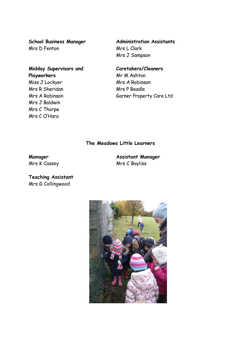Mrs D Fenton Mrs L Clark

# **Midday Supervisors and Caretakers/Cleaners Playworkers** Mr M Ashton Miss J Lockyer Mrs A Robinson Mrs R Sheridan Mrs P Beadle Mrs J Baldwin

**School Business Manager Administration Assistants** Mrs J Sampson

# Mrs A Robinson Garner Property Care Ltd

# **The Meadows Little Learners**

Mrs C Thorpe Mrs C O'Hara

**Manager Assistant Manager** Mrs K Cassey Mrs C Bayliss

**Teaching Assistant** Mrs G Collingwood

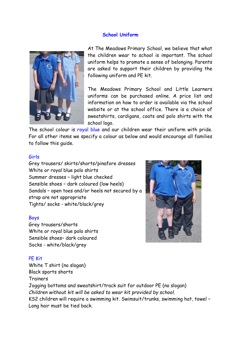#### **School Uniform**



At The Meadows Primary School, we believe that what the children wear to school is important. The school uniform helps to promote a sense of belonging. Parents are asked to support their children by providing the following uniform and PE kit.

The Meadows Primary School and Little Learners uniforms can be purchased online. A price list and information on how to order is available via the school website or at the school office. There is a choice of sweatshirts, cardigans, coats and polo shirts with the school logo.

The school colour is royal blue and our children wear their uniform with pride. For all other items we specify a colour as below and would encourage all families to follow this guide.

#### Girls

Grey trousers/ skirts/shorts/pinafore dresses White or royal blue polo shirts Summer dresses – light blue checked Sensible shoes – dark coloured (low heels) Sandals – open toes and/or heels not secured by a strap are not appropriate Tights/ socks - white/black/grey

#### Boys

Grey trousers/shorts White or royal blue polo shirts Sensible shoes– dark coloured Socks - white/black/grey

# PE Kit

White T shirt (no slogan) Black sports shorts Trainers Jogging bottoms and sweatshirt/track suit for outdoor PE (no slogan) *Children without kit will be asked to wear kit provided by school.*  KS2 children will require a swimming kit. Swimsuit/trunks, swimming hat, towel – Long hair must be tied back.

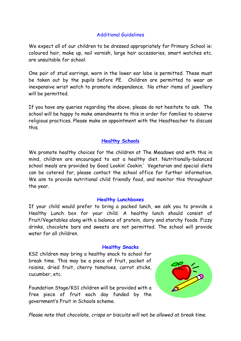# Additional Guidelines

We expect all of our children to be dressed appropriately for Primary School ie: coloured hair, make up, nail varnish, large hair accessories, smart watches etc. are unsuitable for school.

One pair of stud earrings, worn in the lower ear lobe is permitted. These must be taken out by the pupils before PE. Children are permitted to wear an inexpensive wrist watch to promote independence. No other items of jewellery will be permitted.

If you have any queries regarding the above, please do not hesitate to ask. The school will be happy to make amendments to this in order for families to observe religious practices. Please make an appointment with the Headteacher to discuss this.

# **Healthy Schools**

We promote healthy choices for the children at The Meadows and with this in mind, children are encouraged to eat a healthy diet. Nutritionally-balanced school meals are provided by Good Lookin' Cookin.' Vegetarian and special diets can be catered for, please contact the school office for further information. We aim to provide nutritional child friendly food, and monitor this throughout the year.

#### **Healthy Lunchboxes**

If your child would prefer to bring a packed lunch, we ask you to provide a Healthy Lunch box for your child. A healthy lunch should consist of Fruit/Vegetables along with a balance of protein, dairy and starchy foods. Fizzy drinks, chocolate bars and sweets are not permitted. The school will provide water for all children.

#### **Healthy Snacks**

KS2 children may bring a healthy snack to school for break time. This may be a piece of fruit, packet of raisins, dried fruit, cherry tomatoes, carrot sticks, cucumber, etc.

Foundation Stage/KS1 children will be provided with a free piece of fruit each day funded by the government's Fruit in Schools scheme.



*Please note that chocolate, crisps or biscuits will not be allowed at break time.*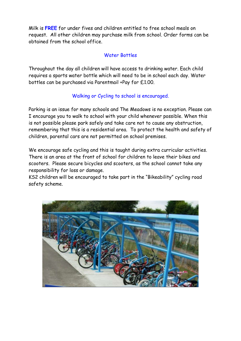Milk is **FREE** for under fives and children entitled to free school meals on request. All other children may purchase milk from school. Order forms can be obtained from the school office.

# Water Bottles

Throughout the day all children will have access to drinking water. Each child requires a sports water bottle which will need to be in school each day. Water bottles can be purchased via Parentmail +Pay for £1.00.

# Walking or Cycling to school is encouraged.

Parking is an issue for many schools and The Meadows is no exception. Please can I encourage you to walk to school with your child whenever possible. When this is not possible please park safely and take care not to cause any obstruction, remembering that this is a residential area. To protect the health and safety of children, parental cars are not permitted on school premises.

We encourage safe cycling and this is taught during extra curricular activities. There is an area at the front of school for children to leave their bikes and scooters. Please secure bicycles and scooters, as the school cannot take any responsibility for loss or damage.

KS2 children will be encouraged to take part in the "Bikeability" cycling road safety scheme.

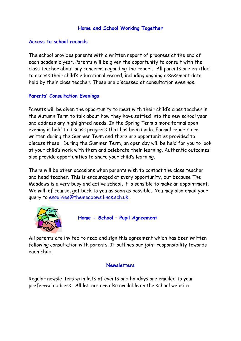# **Home and School Working Together**

#### **Access to school records**

The school provides parents with a written report of progress at the end of each academic year. Parents will be given the opportunity to consult with the class teacher about any concerns regarding the report. All parents are entitled to access their child's educational record, including ongoing assessment data held by their class teacher. These are discussed at consultation evenings.

# **Parents' Consultation Evenings**

Parents will be given the opportunity to meet with their child's class teacher in the Autumn Term to talk about how they have settled into the new school year and address any highlighted needs. In the Spring Term a more formal open evening is held to discuss progress that has been made. Formal reports are written during the Summer Term and there are opportunities provided to discuss these. During the Summer Term, an open day will be held for you to look at your child's work with them and celebrate their learning. Authentic outcomes also provide opportunities to share your child's learning.

There will be other occasions when parents wish to contact the class teacher and head teacher. This is encouraged at every opportunity, but because The Meadows is a very busy and active school, it is sensible to make an appointment. We will, of course, get back to you as soon as possible. You may also email your query to enquiries@themeadows.lincs.sch.uk .



 **Home - School – Pupil Agreement**

All parents are invited to read and sign this agreement which has been written following consultation with parents. It outlines our joint responsibility towards each child.

#### **Newsletters**

Regular newsletters with lists of events and holidays are emailed to your preferred address. All letters are also available on the school website.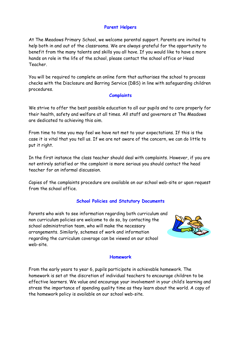#### **Parent Helpers**

At The Meadows Primary School, we welcome parental support. Parents are invited to help both in and out of the classrooms. We are always grateful for the opportunity to benefit from the many talents and skills you all have. If you would like to have a more hands on role in the life of the school, please contact the school office or Head Teacher.

You will be required to complete an online form that authorises the school to process checks with the Disclosure and Barring Service (DBS) in line with safeguarding children procedures.

#### **Complaints**

We strive to offer the best possible education to all our pupils and to care properly for their health, safety and welfare at all times. All staff and governors at The Meadows are dedicated to achieving this aim.

From time to time you may feel we have not met to your expectations. If this is the case it is vital that you tell us. If we are not aware of the concern, we can do little to put it right.

In the first instance the class teacher should deal with complaints. However, if you are not entirely satisfied or the complaint is more serious you should contact the head teacher for an informal discussion.

Copies of the complaints procedure are available on our school web-site or upon request from the school office.

#### **School Policies and Statutory Documents**

Parents who wish to see information regarding both curriculum and non curriculum policies are welcome to do so, by contacting the school administration team, who will make the necessary arrangements. Similarly, schemes of work and information regarding the curriculum coverage can be viewed on our school web-site.



#### **Homework**

From the early years to year 6, pupils participate in achievable homework. The homework is set at the discretion of individual teachers to encourage children to be effective learners. We value and encourage your involvement in your child's learning and stress the importance of spending quality time as they learn about the world. A copy of the homework policy is available on our school web-site.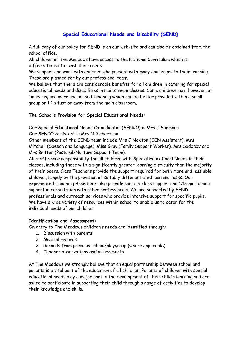# **Special Educational Needs and Disability (SEND)**

A full copy of our policy for SEND is on our web-site and can also be obtained from the school office.

All children at The Meadows have access to the National Curriculum which is differentiated to meet their needs.

We support and work with children who present with many challenges to their learning. These are planned for by our professional team.

We believe that there are considerable benefits for all children in catering for special educational needs and disabilities in mainstream classes. Some children may, however, at times require more specialised teaching which can be better provided within a small group or 1:1 situation away from the main classroom.

#### **The School's Provision for Special Educational Needs:**

Our Special Educational Needs Co-ordinator (SENCO) is Mrs J Simmons Our SENCO Assistant is Mrs N Richardson

Other members of the SEND team include Mrs J Newton (SEN Assistant), Mrs Mitchell (Speech and Language), Miss Gray (Family Support Worker), Mrs Suddaby and Mrs Britten (Pastoral/Nurture Support Team).

All staff share responsibility for all children with Special Educational Needs in their classes, including those with a significantly greater learning difficulty than the majority of their peers. Class Teachers provide the support required for both more and less able children, largely by the provision of suitably differentiated learning tasks. Our experienced Teaching Assistants also provide some in-class support and 1:1/small group support in consultation with other professionals. We are supported by SEND professionals and outreach services who provide intensive support for specific pupils. We have a wide variety of resources within school to enable us to cater for the individual needs of our children.

#### **Identification and Assessment:**

On entry to The Meadows children's needs are identified through:

- 1. Discussion with parents
- 2. Medical records
- 3. Records from previous school/playgroup (where applicable)
- 4. Teacher observations and assessments

At The Meadows we strongly believe that an equal partnership between school and parents is a vital part of the education of all children. Parents of children with special educational needs play a major part in the development of their child's learning and are asked to participate in supporting their child through a range of activities to develop their knowledge and skills.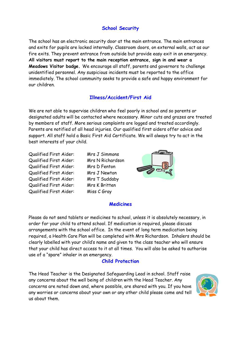# **School Security**

The school has an electronic security door at the main entrance. The main entrances and exits for pupils are locked internally. Classroom doors, on external walls, act as our fire exits. They prevent entrance from outside but provide easy exit in an emergency. **All visitors must report to the main reception entrance, sign in and wear a Meadows Visitor badge.** We encourage all staff, parents and governors to challenge unidentified personnel. Any suspicious incidents must be reported to the office immediately. The school community seeks to provide a safe and happy environment for our children.

#### **Illness/Accident/First Aid**

We are not able to supervise children who feel poorly in school and so parents or designated adults will be contacted where necessary. Minor cuts and grazes are treated by members of staff. More serious complaints are logged and treated accordingly. Parents are notified of all head injuries. Our qualified first aiders offer advice and support. All staff hold a Basic First Aid Certificate. We will always try to act in the best interests of your child.

Qualified First Aider: Mrs J Simmons Qualified First Aider: Mrs N Richardson Qualified First Aider: Mrs D Fenton Qualified First Aider: Mrs J Newton Qualified First Aider: Mrs T Suddaby Qualified First Aider: Mrs K Britten Qualified First Aider: Miss C Gray



#### **Medicines**

Please do not send tablets or medicines to school, unless it is absolutely necessary, in order for your child to attend school. If medication is required, please discuss arrangements with the school office. In the event of long term medication being required, a Health Care Plan will be completed with Mrs Richardson. Inhalers should be clearly labelled with your child's name and given to the class teacher who will ensure that your child has direct access to it at all times. You will also be asked to authorise use of a "spare" inhaler in an emergency.

#### **Child Protection**

The Head Teacher is the Designated Safeguarding Lead in school. Staff raise any concerns about the well being of children with the Head Teacher. Any concerns are noted down and, where possible, are shared with you. If you have any worries or concerns about your own or any other child please come and tell us about them.

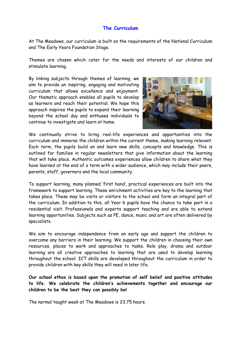#### **The Curriculum**

At The Meadows, our curriculum is built on the requirements of the National Curriculum and The Early Years Foundation Stage.

Themes are chosen which cater for the needs and interests of our children and stimulate learning.

By linking subjects through themes of learning, we aim to provide an inspiring, engaging and motivating curriculum that allows excellence and enjoyment. Our thematic approach enables all pupils to develop as learners and reach their potential. We hope this approach inspires the pupils to expand their learning beyond the school day and enthuses individuals to continue to investigate and learn at home.



We continually strive to bring real-life experiences and opportunities into the curriculum and immerse the children within the current theme, making learning relevant. Each term, the pupils build on and learn new skills, concepts and knowledge. This is outlined for families in regular newsletters that give information about the learning that will take place. Authentic outcomes experiences allow children to share what they have learned at the end of a term with a wider audience, which may include their peers, parents, staff, governors and the local community.

To support learning, many planned 'first hand', practical experiences are built into the framework to support learning. These enrichment activities are key to the learning that takes place. These may be visits or visitors to the school and form an integral part of the curriculum. In addition to this, all Year 6 pupils have the chance to take part in a residential visit. Professionals and experts support teaching and are able to extend learning opportunities. Subjects such as PE, dance, music and art are often delivered by specialists.

We aim to encourage independence from an early age and support the children to overcome any barriers in their learning. We support the children in choosing their own resources, places to work and approaches to tasks. Role play, drama and outdoor learning are all creative approaches to learning that are used to develop learning throughout the school. ICT skills are developed throughout the curriculum in order to provide children with key skills they will need in later life.

**Our school ethos is based upon the promotion of self belief and positive attitudes to life. We celebrate the children's achievements together and encourage our children to be the best they can possibly be!** 

The normal taught week at The Meadows is 23.75 hours.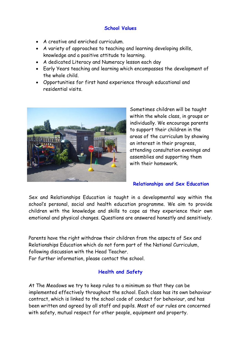# **School Values**

- A creative and enriched curriculum.
- A variety of approaches to teaching and learning developing skills, knowledge and a positive attitude to learning.
- A dedicated Literacy and Numeracy lesson each day
- Early Years teaching and learning which encompasses the development of the whole child.
- Opportunities for first hand experience through educational and residential visits.



Sometimes children will be taught within the whole class, in groups or individually. We encourage parents to support their children in the areas of the curriculum by showing an interest in their progress, attending consultation evenings and assemblies and supporting them with their homework.

# **Relationships and Sex Education**

Sex and Relationships Education is taught in a developmental way within the school's personal, social and health education programme. We aim to provide children with the knowledge and skills to cope as they experience their own emotional and physical changes. Questions are answered honestly and sensitively.

Parents have the right withdraw their children from the aspects of Sex and Relationships Education which do not form part of the National Curriculum, following discussion with the Head Teacher.

For further information, please contact the school.

# **Health and Safety**

At The Meadows we try to keep rules to a minimum so that they can be implemented effectively throughout the school. Each class has its own behaviour contract, which is linked to the school code of conduct for behaviour, and has been written and agreed by all staff and pupils. Most of our rules are concerned with safety, mutual respect for other people, equipment and property.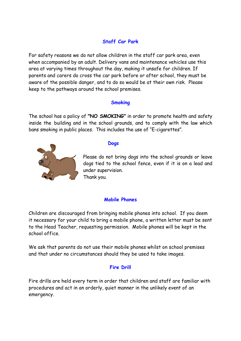# **Staff Car Park**

For safety reasons we do not allow children in the staff car park area, even when accompanied by an adult. Delivery vans and maintenance vehicles use this area at varying times throughout the day, making it unsafe for children. If parents and carers do cross the car park before or after school, they must be aware of the possible danger, and to do so would be at their own risk. Please keep to the pathways around the school premises.

# **Smoking**

The school has a policy of **"NO SMOKING"** in order to promote health and safety inside the building and in the school grounds, and to comply with the law which bans smoking in public places. This includes the use of "E-cigarettes".



#### **Dogs**

Please do not bring dogs into the school grounds or leave dogs tied to the school fence, even if it is on a lead and under supervision. Thank you.

# **Mobile Phones**

Children are discouraged from bringing mobile phones into school. If you deem it necessary for your child to bring a mobile phone, a written letter must be sent to the Head Teacher, requesting permission. Mobile phones will be kept in the school office.

We ask that parents do not use their mobile phones whilst on school premises and that under no circumstances should they be used to take images.

# **Fire Drill**

Fire drills are held every term in order that children and staff are familiar with procedures and act in an orderly, quiet manner in the unlikely event of an emergency.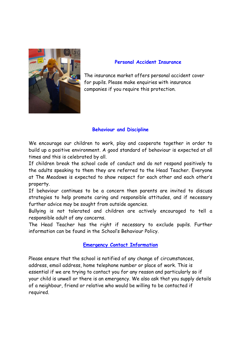

#### **Personal Accident Insurance**

The insurance market offers personal accident cover for pupils. Please make enquiries with insurance companies if you require this protection.

# **Behaviour and Discipline**

We encourage our children to work, play and cooperate together in order to build up a positive environment. A good standard of behaviour is expected at all times and this is celebrated by all.

If children break the school code of conduct and do not respond positively to the adults speaking to them they are referred to the Head Teacher. Everyone at The Meadows is expected to show respect for each other and each other's property.

If behaviour continues to be a concern then parents are invited to discuss strategies to help promote caring and responsible attitudes, and if necessary further advice may be sought from outside agencies.

Bullying is not tolerated and children are actively encouraged to tell a responsible adult of any concerns.

The Head Teacher has the right if necessary to exclude pupils. Further information can be found in the School's Behaviour Policy.

# **Emergency Contact Information**

Please ensure that the school is notified of any change of circumstances, address, email address, home telephone number or place of work. This is essential if we are trying to contact you for any reason and particularly so if your child is unwell or there is an emergency. We also ask that you supply details of a neighbour, friend or relative who would be willing to be contacted if required.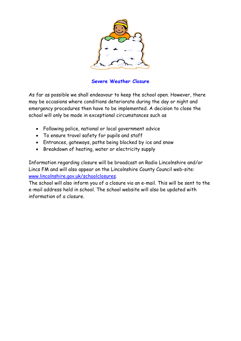

**Severe Weather Closure**

As far as possible we shall endeavour to keep the school open. However, there may be occasions where conditions deteriorate during the day or night and emergency procedures then have to be implemented. A decision to close the school will only be made in exceptional circumstances such as

- Following police, national or local government advice
- To ensure travel safety for pupils and staff
- Entrances, gateways, paths being blocked by ice and snow
- Breakdown of heating, water or electricity supply

Information regarding closure will be broadcast on Radio Lincolnshire and/or Lincs FM and will also appear on the Lincolnshire County Council web-site: www.lincolnshire.gov.uk/schoolclosures.

The school will also inform you of a closure via an e-mail. This will be sent to the e-mail address held in school. The school website will also be updated with information of a closure.